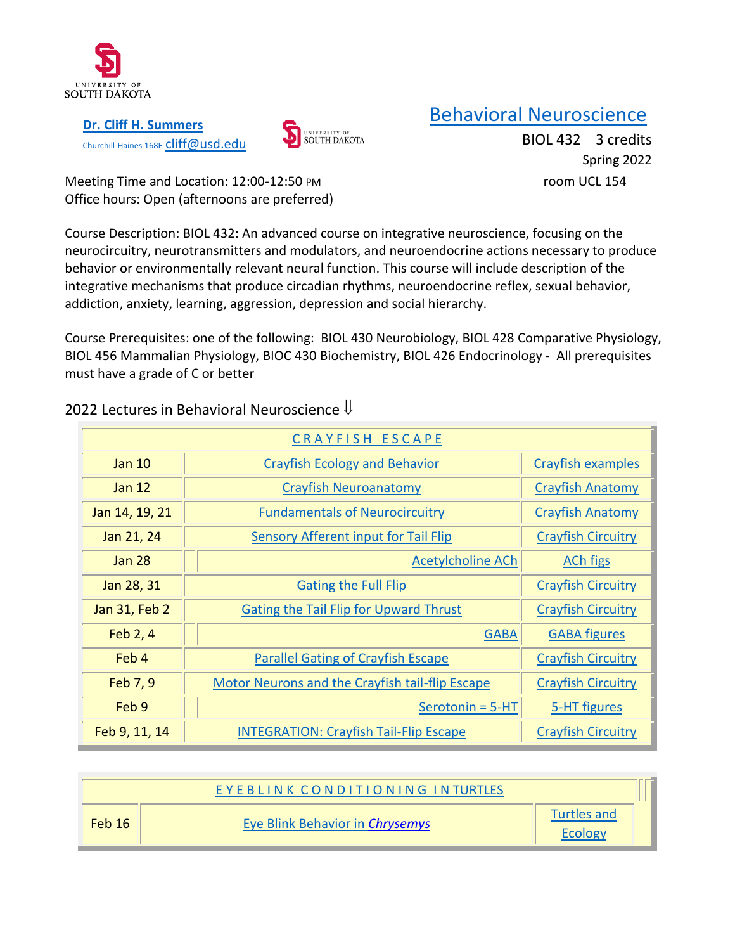

**[Dr. Cliff H. Summers](http://usdbiology.com/cliff)** [Churchill-Haines 168F](http://usdbiology.com/cliff) Cliff@usd.edu



# [Behavioral Neuroscience](http://usdbiology.com/cliff/Courses/Behavioral%20Neuroscience/index.html)

BIOL 432 3 credits Spring 2022

Meeting Time and Location: 12:00-12:50 PM room UCL 154 Office hours: Open (afternoons are preferred)

Course Description: BIOL 432: An advanced course on integrative neuroscience, focusing on the neurocircuitry, neurotransmitters and modulators, and neuroendocrine actions necessary to produce behavior or environmentally relevant neural function. This course will include description of the integrative mechanisms that produce circadian rhythms, neuroendocrine reflex, sexual behavior, addiction, anxiety, learning, aggression, depression and social hierarchy.

Course Prerequisites: one of the following: BIOL 430 Neurobiology, BIOL 428 Comparative Physiology, BIOL 456 Mammalian Physiology, BIOC 430 Biochemistry, BIOL 426 Endocrinology - All prerequisites must have a grade of C or better

| CRAYFISH ESCAPE |                                                        |                           |  |  |
|-----------------|--------------------------------------------------------|---------------------------|--|--|
| <b>Jan 10</b>   | <b>Crayfish Ecology and Behavior</b>                   | <b>Crayfish examples</b>  |  |  |
| Jan $12$        | <b>Crayfish Neuroanatomy</b>                           | <b>Crayfish Anatomy</b>   |  |  |
| Jan 14, 19, 21  | <b>Fundamentals of Neurocircuitry</b>                  | <b>Crayfish Anatomy</b>   |  |  |
| Jan 21, 24      | <b>Sensory Afferent input for Tail Flip</b>            | <b>Crayfish Circuitry</b> |  |  |
| <b>Jan 28</b>   | <b>Acetylcholine ACh</b>                               | <b>ACh figs</b>           |  |  |
| Jan 28, 31      | <b>Gating the Full Flip</b>                            | <b>Crayfish Circuitry</b> |  |  |
| Jan 31, Feb 2   | <b>Gating the Tail Flip for Upward Thrust</b>          | <b>Crayfish Circuitry</b> |  |  |
| Feb 2, 4        | <b>GABA</b>                                            | <b>GABA figures</b>       |  |  |
| Feb 4           | <b>Parallel Gating of Crayfish Escape</b>              | <b>Crayfish Circuitry</b> |  |  |
| Feb 7, 9        | <b>Motor Neurons and the Crayfish tail-flip Escape</b> | <b>Crayfish Circuitry</b> |  |  |
| Feb 9           | $Serotonin = 5-HT$                                     | 5-HT figures              |  |  |
| Feb 9, 11, 14   | <b>INTEGRATION: Crayfish Tail-Flip Escape</b>          | <b>Crayfish Circuitry</b> |  |  |

## 2022 Lectures in Behavioral Neuroscience  $\Downarrow$

|        | EYEBLINK CONDITIONING INTURTLES |                        |
|--------|---------------------------------|------------------------|
| Feb 16 | Eye Blink Behavior in Chrysemys | Turtles and<br>Ecology |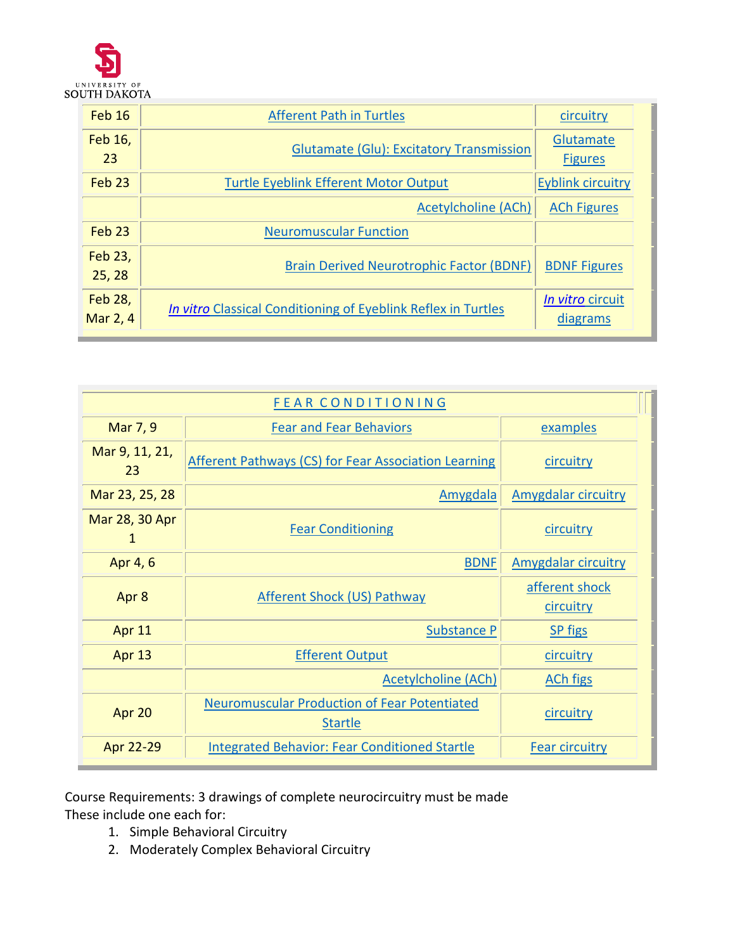

| <b>Feb 16</b>       | <b>Afferent Path in Turtles</b>                               | circuitry                          |
|---------------------|---------------------------------------------------------------|------------------------------------|
| Feb 16,<br>23       | <b>Glutamate (Glu): Excitatory Transmission</b>               | <b>Glutamate</b><br><b>Figures</b> |
| Feb <sub>23</sub>   | <b>Turtle Eyeblink Efferent Motor Output</b>                  | <b>Eyblink circuitry</b>           |
|                     | Acetylcholine (ACh)                                           | <b>ACh Figures</b>                 |
| $Feb$ 23            | <b>Neuromuscular Function</b>                                 |                                    |
| Feb 23,<br>25, 28   | <b>Brain Derived Neurotrophic Factor (BDNF)</b>               | <b>BDNF Figures</b>                |
| Feb 28,<br>Mar 2, 4 | In vitro Classical Conditioning of Eyeblink Reflex in Turtles | In vitro circuit<br>diagrams       |

| <b>FEAR CONDITIONING</b> |                                                                       |                             |  |  |
|--------------------------|-----------------------------------------------------------------------|-----------------------------|--|--|
| Mar 7, 9                 | <b>Fear and Fear Behaviors</b>                                        | examples                    |  |  |
| Mar 9, 11, 21,<br>23     | <b>Afferent Pathways (CS) for Fear Association Learning</b>           | circuitry                   |  |  |
| Mar 23, 25, 28           | Amygdala                                                              | <b>Amygdalar circuitry</b>  |  |  |
| Mar 28, 30 Apr<br>1      | <b>Fear Conditioning</b>                                              | circuitry                   |  |  |
| Apr 4, 6                 | <b>BDNF</b>                                                           | <b>Amygdalar circuitry</b>  |  |  |
| Apr 8                    | <b>Afferent Shock (US) Pathway</b>                                    | afferent shock<br>circuitry |  |  |
| Apr 11                   | Substance P                                                           | <b>SP</b> figs              |  |  |
| Apr 13                   | <b>Efferent Output</b>                                                | circuitry                   |  |  |
|                          | <b>Acetylcholine (ACh)</b>                                            | <b>ACh figs</b>             |  |  |
| Apr 20                   | <b>Neuromuscular Production of Fear Potentiated</b><br><b>Startle</b> | circuitry                   |  |  |
| Apr 22-29                | <b>Integrated Behavior: Fear Conditioned Startle</b>                  | <b>Fear circuitry</b>       |  |  |

Course Requirements: 3 drawings of complete neurocircuitry must be made These include one each for:

- 1. Simple Behavioral Circuitry
- 2. Moderately Complex Behavioral Circuitry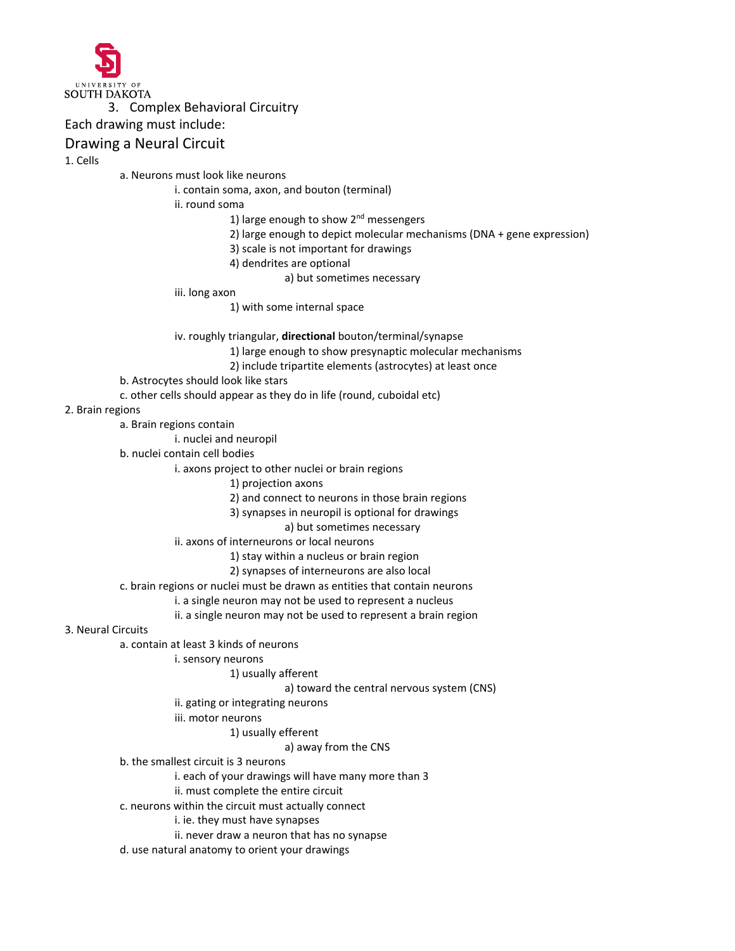

#### 3. Complex Behavioral Circuitry

Each drawing must include:

### Drawing a Neural Circuit

1. Cells

a. Neurons must look like neurons

i. contain soma, axon, and bouton (terminal)

ii. round soma

1) large enough to show  $2^{nd}$  messengers

- 2) large enough to depict molecular mechanisms (DNA + gene expression)
- 3) scale is not important for drawings
- 4) dendrites are optional
	- a) but sometimes necessary

iii. long axon

1) with some internal space

iv. roughly triangular, **directional** bouton/terminal/synapse

- 1) large enough to show presynaptic molecular mechanisms
	- 2) include tripartite elements (astrocytes) at least once
- b. Astrocytes should look like stars

c. other cells should appear as they do in life (round, cuboidal etc)

#### 2. Brain regions

a. Brain regions contain

i. nuclei and neuropil

b. nuclei contain cell bodies

i. axons project to other nuclei or brain regions

- 1) projection axons
- 2) and connect to neurons in those brain regions
- 3) synapses in neuropil is optional for drawings

#### a) but sometimes necessary

ii. axons of interneurons or local neurons

1) stay within a nucleus or brain region

2) synapses of interneurons are also local

c. brain regions or nuclei must be drawn as entities that contain neurons

i. a single neuron may not be used to represent a nucleus

ii. a single neuron may not be used to represent a brain region

3. Neural Circuits

a. contain at least 3 kinds of neurons

i. sensory neurons

1) usually afferent

a) toward the central nervous system (CNS)

- ii. gating or integrating neurons
- iii. motor neurons

1) usually efferent

a) away from the CNS

b. the smallest circuit is 3 neurons

i. each of your drawings will have many more than 3

- ii. must complete the entire circuit
- c. neurons within the circuit must actually connect
	- i. ie. they must have synapses
	- ii. never draw a neuron that has no synapse
- d. use natural anatomy to orient your drawings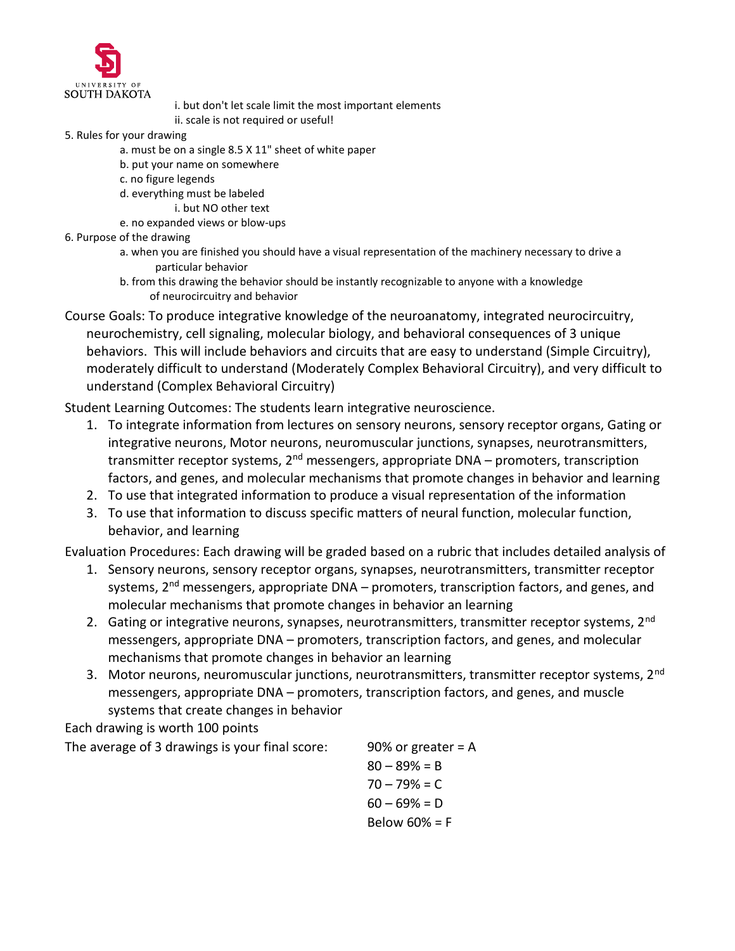

 i. but don't let scale limit the most important elements ii. scale is not required or useful!

- 5. Rules for your drawing
	- a. must be on a single 8.5 X 11" sheet of white paper
	- b. put your name on somewhere
	- c. no figure legends
	- d. everything must be labeled
		- i. but NO other text
	- e. no expanded views or blow-ups
- 6. Purpose of the drawing
	- a. when you are finished you should have a visual representation of the machinery necessary to drive a particular behavior
	- b. from this drawing the behavior should be instantly recognizable to anyone with a knowledge of neurocircuitry and behavior

Course Goals: To produce integrative knowledge of the neuroanatomy, integrated neurocircuitry, neurochemistry, cell signaling, molecular biology, and behavioral consequences of 3 unique behaviors. This will include behaviors and circuits that are easy to understand (Simple Circuitry), moderately difficult to understand (Moderately Complex Behavioral Circuitry), and very difficult to understand (Complex Behavioral Circuitry)

Student Learning Outcomes: The students learn integrative neuroscience.

- 1. To integrate information from lectures on sensory neurons, sensory receptor organs, Gating or integrative neurons, Motor neurons, neuromuscular junctions, synapses, neurotransmitters, transmitter receptor systems, 2<sup>nd</sup> messengers, appropriate DNA – promoters, transcription factors, and genes, and molecular mechanisms that promote changes in behavior and learning
- 2. To use that integrated information to produce a visual representation of the information
- 3. To use that information to discuss specific matters of neural function, molecular function, behavior, and learning

Evaluation Procedures: Each drawing will be graded based on a rubric that includes detailed analysis of

- 1. Sensory neurons, sensory receptor organs, synapses, neurotransmitters, transmitter receptor systems, 2<sup>nd</sup> messengers, appropriate DNA – promoters, transcription factors, and genes, and molecular mechanisms that promote changes in behavior an learning
- 2. Gating or integrative neurons, synapses, neurotransmitters, transmitter receptor systems, 2<sup>nd</sup> messengers, appropriate DNA – promoters, transcription factors, and genes, and molecular mechanisms that promote changes in behavior an learning
- 3. Motor neurons, neuromuscular junctions, neurotransmitters, transmitter receptor systems, 2<sup>nd</sup> messengers, appropriate DNA – promoters, transcription factors, and genes, and muscle systems that create changes in behavior

Each drawing is worth 100 points

The average of 3 drawings is your final score: 90% or greater  $= A$ 

 $80 - 89% = B$  $70 - 79% = C$  $60 - 69% = D$ Below 60% = F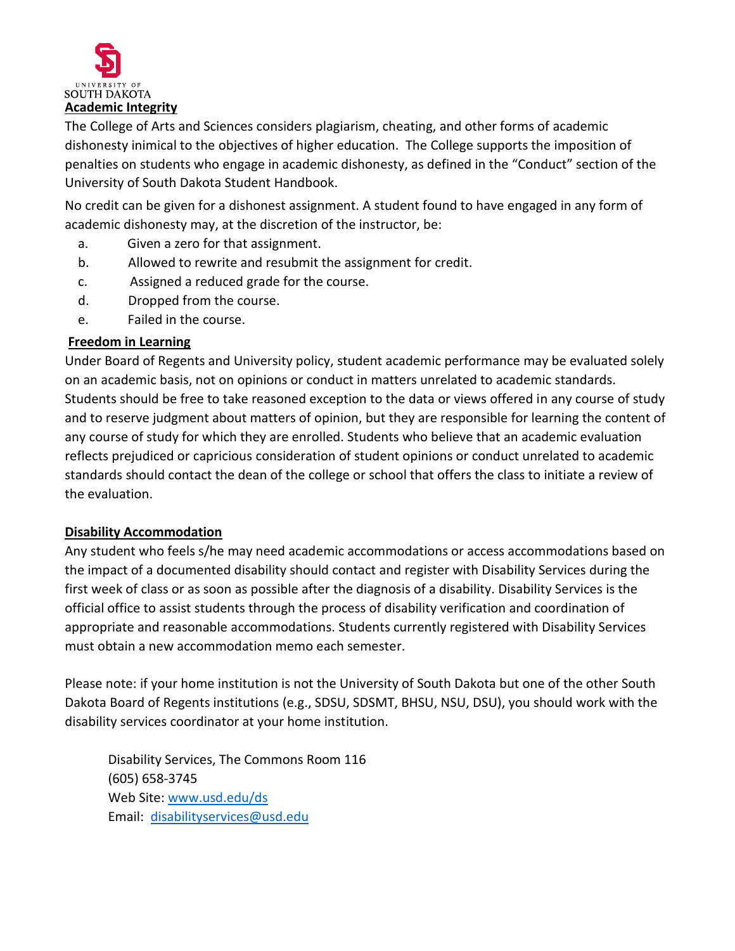

The College of Arts and Sciences considers plagiarism, cheating, and other forms of academic dishonesty inimical to the objectives of higher education. The College supports the imposition of penalties on students who engage in academic dishonesty, as defined in the "Conduct" section of the University of South Dakota Student Handbook.

No credit can be given for a dishonest assignment. A student found to have engaged in any form of academic dishonesty may, at the discretion of the instructor, be:

- a. Given a zero for that assignment.
- b. Allowed to rewrite and resubmit the assignment for credit.
- c. Assigned a reduced grade for the course.
- d. Dropped from the course.
- e. Failed in the course.

## **Freedom in Learning**

Under Board of Regents and University policy, student academic performance may be evaluated solely on an academic basis, not on opinions or conduct in matters unrelated to academic standards. Students should be free to take reasoned exception to the data or views offered in any course of study and to reserve judgment about matters of opinion, but they are responsible for learning the content of any course of study for which they are enrolled. Students who believe that an academic evaluation reflects prejudiced or capricious consideration of student opinions or conduct unrelated to academic standards should contact the dean of the college or school that offers the class to initiate a review of the evaluation.

## **Disability Accommodation**

Any student who feels s/he may need academic accommodations or access accommodations based on the impact of a documented disability should contact and register with Disability Services during the first week of class or as soon as possible after the diagnosis of a disability. Disability Services is the official office to assist students through the process of disability verification and coordination of appropriate and reasonable accommodations. Students currently registered with Disability Services must obtain a new accommodation memo each semester.

Please note: if your home institution is not the University of South Dakota but one of the other South Dakota Board of Regents institutions (e.g., SDSU, SDSMT, BHSU, NSU, DSU), you should work with the disability services coordinator at your home institution.

Disability Services, The Commons Room 116 (605) 658-3745 Web Site: [www.usd.edu/ds](http://www.usd.edu/ds)  Email: [disabilityservices@usd.edu](mailto:disabilityservices@usd.edu)